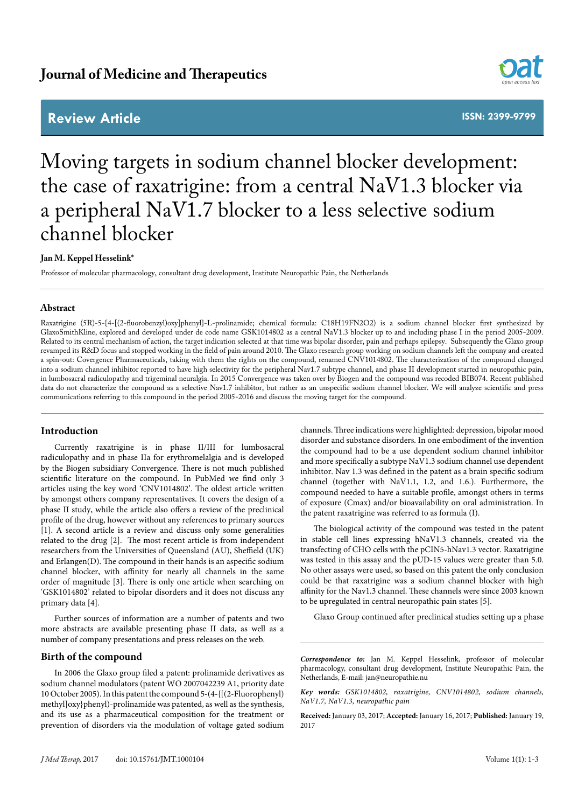## **Review Article**



**ISSN: 2399-9799**

# Moving targets in sodium channel blocker development: the case of raxatrigine: from a central NaV1.3 blocker via a peripheral NaV1.7 blocker to a less selective sodium channel blocker

## **Jan M. Keppel Hesselink\***

Professor of molecular pharmacology, consultant drug development, Institute Neuropathic Pain, the Netherlands

## **Abstract**

Raxatrigine (5R)-5-{4-[(2-fluorobenzyl)oxy]phenyl}-L-prolinamide; chemical formula: C18H19FN2O2) is a sodium channel blocker first synthesized by GlaxoSmithKline, explored and developed under de code name GSK1014802 as a central NaV1.3 blocker up to and including phase I in the period 2005-2009. Related to its central mechanism of action, the target indication selected at that time was bipolar disorder, pain and perhaps epilepsy. Subsequently the Glaxo group revamped its R&D focus and stopped working in the field of pain around 2010. The Glaxo research group working on sodium channels left the company and created a spin-out: Covergence Pharmaceuticals, taking with them the rights on the compound, renamed CNV1014802. The characterization of the compound changed into a sodium channel inhibitor reported to have high selectivity for the peripheral Nav1.7 subtype channel, and phase II development started in neuropathic pain, in lumbosacral radiculopathy and trigeminal neuralgia. In 2015 Convergence was taken over by Biogen and the compound was recoded BIB074. Recent published data do not characterize the compound as a selective Nav1.7 inhibitor, but rather as an unspecific sodium channel blocker. We will analyze scientific and press communications referring to this compound in the period 2005-2016 and discuss the moving target for the compound.

## **Introduction**

Currently raxatrigine is in phase II/III for lumbosacral radiculopathy and in phase IIa for erythromelalgia and is developed by the Biogen subsidiary Convergence. There is not much published scientific literature on the compound. In PubMed we find only 3 articles using the key word 'CNV1014802'. The oldest article written by amongst others company representatives. It covers the design of a phase II study, while the article also offers a review of the preclinical profile of the drug, however without any references to primary sources [1]. A second article is a review and discuss only some generalities related to the drug [2]. The most recent article is from independent researchers from the Universities of Queensland (AU), Sheffield (UK) and Erlangen(D). The compound in their hands is an aspecific sodium channel blocker, with affinity for nearly all channels in the same order of magnitude [3]. There is only one article when searching on 'GSK1014802' related to bipolar disorders and it does not discuss any primary data [4].

Further sources of information are a number of patents and two more abstracts are available presenting phase II data, as well as a number of company presentations and press releases on the web.

#### **Birth of the compound**

In 2006 the Glaxo group filed a patent: prolinamide derivatives as sodium channel modulators (patent WO 2007042239 A1, priority date 10 October 2005). In this patent the compound 5-(4-{[(2-Fluorophenyl) methyl]oxy}phenyl)-prolinamide was patented, as well as the synthesis, and its use as a pharmaceutical composition for the treatment or prevention of disorders via the modulation of voltage gated sodium

channels. Three indications were highlighted: depression, bipolar mood disorder and substance disorders. In one embodiment of the invention the compound had to be a use dependent sodium channel inhibitor and more specifically a subtype NaV1.3 sodium channel use dependent inhibitor. Nav 1.3 was defined in the patent as a brain specific sodium channel (together with NaV1.1, 1.2, and 1.6.). Furthermore, the compound needed to have a suitable profile, amongst others in terms of exposure (Cmax) and/or bioavailability on oral administration. In the patent raxatrigine was referred to as formula (I).

The biological activity of the compound was tested in the patent in stable cell lines expressing hNaV1.3 channels, created via the transfecting of CHO cells with the pCIN5-hNav1.3 vector. Raxatrigine was tested in this assay and the pUD-15 values were greater than 5.0. No other assays were used, so based on this patent the only conclusion could be that raxatrigine was a sodium channel blocker with high affinity for the Nav1.3 channel. These channels were since 2003 known to be upregulated in central neuropathic pain states [5].

Glaxo Group continued after preclinical studies setting up a phase

*Correspondence to:* Jan M. Keppel Hesselink, professor of molecular pharmacology, consultant drug development, Institute Neuropathic Pain, the Netherlands, E-mail: jan@neuropathie.nu

*Key words: GSK1014802, raxatrigine, CNV1014802, sodium channels, NaV1.7, NaV1.3, neuropathic pain*

**Received:** January 03, 2017; **Accepted:** January 16, 2017; **Published:** January 19, 2017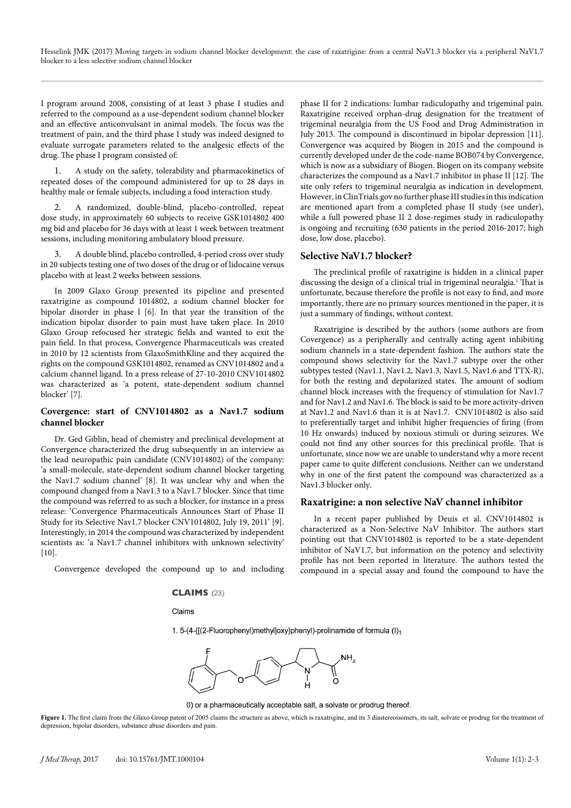I program around 2008, consisting of at least 3 phase I studies and referred to the compound as a use-dependent sodium channel blocker and an effective anticonvulsant in animal models. The focus was the treatment of pain, and the third phase I study was indeed designed to evaluate surrogate parameters related to the analgesic effects of the drug. The phase I program consisted of:

1. A study on the safety, tolerability and pharmacokinetics of repeated doses of the compound administered for up to 28 days in healthy male or female subjects, including a food interaction study.

2. A randomized, double-blind, placebo-controlled, repeat dose study, in approximately 60 subjects to receive GSK1014802 400 mg bid and placebo for 36 days with at least 1 week between treatment sessions, including monitoring ambulatory blood pressure.

3. A double blind, placebo controlled, 4-period cross over study in 20 subjects testing one of two doses of the drug or of lidocaine versus placebo with at least 2 weeks between sessions.

In 2009 Glaxo Group presented its pipeline and presented raxatrigine as compound 1014802, a sodium channel blocker for bipolar disorder in phase l [6]. In that year the transition of the indication bipolar disorder to pain must have taken place. In 2010 Glaxo Group refocused her strategic fields and wanted to exit the pain field. In that process, Convergence Pharmaceuticals was created in 2010 by 12 scientists from GlaxoSmithKline and they acquired the rights on the compound GSK1014802, renamed as CNV1014802 and a calcium channel ligand. In a press release of 27-10-2010 CNV1014802 was characterized as 'a potent, state-dependent sodium channel blocker' [7].

## **Covergence: start of CNV1014802 as a Nav1.7 sodium channel blocker**

Dr. Ged Giblin, head of chemistry and preclinical development at Convergence characterized the drug subsequently in an interview as the lead neuropathic pain candidate (CNV1014802) of the company: 'a small-molecule, state-dependent sodium channel blocker targeting the Nav1.7 sodium channel' [8]. It was unclear why and when the compound changed from a Nav1.3 to a Nav1.7 blocker. Since that time the compound was referred to as such a blocker, for instance in a press release: 'Convergence Pharmaceuticals Announces Start of Phase II Study for its Selective Nav1.7 blocker CNV1014802, July 19, 2011' [9]. Interestingly, in 2014 the compound was characterized by independent scientists as: 'a Nav1.7 channel inhibitors with unknown selectivity'  $[10]$ .

Convergence developed the compound up to and including

#### **CLAIMS** (23)

#### Claims

phase II for 2 indications: lumbar radiculopathy and trigeminal pain. Raxatrigine received orphan-drug designation for the treatment of trigeminal neuralgia from the US Food and Drug Administration in July 2013. The compound is discontinued in bipolar depression [11]. Convergence was acquired by Biogen in 2015 and the compound is currently developed under de the code-name BOB074 by Convergence, which is now as a subsidiary of Biogen. Biogen on its company website characterizes the compound as a Nav1.7 inhibitor in phase II [12]. The site only refers to trigeminal neuralgia as indication in development. However, in ClinTrials.gov no further phase III studies in this indication are mentioned apart from a completed phase II study (see under), while a full powered phase II 2 dose-regimes study in radiculopathy is ongoing and recruiting (630 patients in the period 2016-2017; high dose, low dose, placebo).

## **Selective NaV1.7 blocker?**

The preclinical profile of raxatrigine is hidden in a clinical paper discussing the design of a clinical trial in trigeminal neuralgia.<sup>1</sup> That is unfortunate, because therefore the profile is not easy to find, and more importantly, there are no primary sources mentioned in the paper, it is just a summary of findings, without context.

Raxatrigine is described by the authors (some authors are from Covergence) as a peripherally and centrally acting agent inhibiting sodium channels in a state-dependent fashion. The authors state the compound shows selectivity for the Nav1.7 subtype over the other subtypes tested (Nav1.1, Nav1.2, Nav1.3, Nav1.5, Nav1.6 and TTX-R), for both the resting and depolarized states. The amount of sodium channel block increases with the frequency of stimulation for Nav1.7 and for Nav1.2 and Nav1.6. The block is said to be more activity-driven at Nav1.2 and Nav1.6 than it is at Nav1.7. CNV1014802 is also said to preferentially target and inhibit higher frequencies of firing (from 10 Hz onwards) induced by noxious stimuli or during seizures. We could not find any other sources for this preclinical profile. That is unfortunate, since now we are unable to understand why a more recent paper came to quite different conclusions. Neither can we understand why in one of the first patent the compound was characterized as a Nav1.3 blocker only.

## **Raxatrigine: a non selective NaV channel inhibitor**

In a recent paper published by Deuis et al. CNV1014802 is characterized as a Non-Selective NaV Inhibitor. The authors start pointing out that CNV1014802 is reported to be a state-dependent inhibitor of NaV1.7, but information on the potency and selectivity profile has not been reported in literature. The authors tested the compound in a special assay and found the compound to have the

1. 5-(4-{[(2-Fluorophenyl)methyl]oxy}phenyl)-prolinamide of formula (I)<sub>1</sub>



0) or a pharmaceutically acceptable salt, a solvate or prodrug thereof.

Figure 1. The first claim from the Glaxo Group patent of 2005 claims the structure as above, which is raxatrigine, and its 3 diastereoisomers, its salt, solvate or prodrug for the treatment of depression, bipolar disorders, substance abuse disorders and pain.